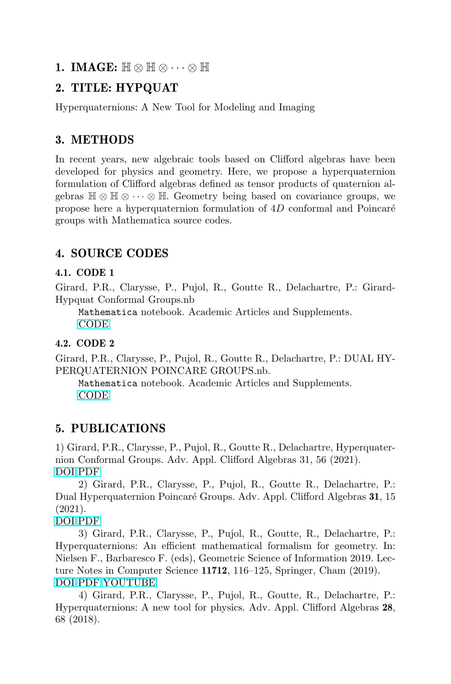#### 1. IMAGE:  $\mathbb{H} \otimes \mathbb{H} \otimes \cdots \otimes \mathbb{H}$

## 2. TITLE: HYPQUAT

Hyperquaternions: A New Tool for Modeling and Imaging

# 3. METHODS

In recent years, new algebraic tools based on Clifford algebras have been developed for physics and geometry. Here, we propose a hyperquaternion formulation of Clifford algebras defined as tensor products of quaternion algebras  $\mathbb{H} \otimes \mathbb{H} \otimes \cdots \otimes \mathbb{H}$ . Geometry being based on covariance groups, we propose here a hyperquaternion formulation of  $4D$  conformal and Poincaré groups with Mathematica source codes.

## 4. SOURCE CODES

#### 4.1. CODE 1

Girard, P.R., Clarysse, P., Pujol, R., Goutte R., Delachartre, P.: Girard-Hypquat Conformal Groups.nb

Mathematica notebook. Academic Articles and Supplements. [CODE](http://www.notebookarchive.org/2021-08-6z1zbda/)

#### 4.2. CODE 2

Girard, P.R., Clarysse, P., Pujol, R., Goutte R., Delachartre, P.: DUAL HY-PERQUATERNION POINCARE GROUPS.nb.

Mathematica notebook. Academic Articles and Supplements. [CODE](http://www.notebookarchive.org/2021-03-4mrwcdg/)

### 5. PUBLICATIONS

1) Girard, P.R., Clarysse, P., Pujol, R., Goutte R., Delachartre, Hyperquaternion Conformal Groups. Adv. Appl. Clifford Algebras 31, 56 (2021). [DOI](https://doi.org/10.1007/s00006-021-01159-y) [PDF](https://hal.archives-ouvertes.fr/hal-03270493)

2) Girard, P.R., Clarysse, P., Pujol, R., Goutte R., Delachartre, P.: Dual Hyperquaternion Poincaré Groups. Adv. Appl. Clifford Algebras 31, 15 (2021).

[DOI](https://doi.org/10.1007/s00006-021-01120-z) [PDF](https://hal.archives-ouvertes.fr/hal-03139597)

3) Girard, P.R., Clarysse, P., Pujol, R., Goutte, R., Delachartre, P.: Hyperquaternions: An efficient mathematical formalism for geometry. In: Nielsen F., Barbaresco F. (eds), Geometric Science of Information 2019. Lecture Notes in Computer Science 11712, 116–125, Springer, Cham (2019). [DOI](https://doi.org/10.1007/978-3-030-26980-7_13) [PDF](https://hal.archives-ouvertes.fr/hal-02276429) [YOUTUBE](https://www.youtube.com/watch?v=EaMa5kl4Hak)

4) Girard, P.R., Clarysse, P., Pujol, R., Goutte, R., Delachartre, P.: Hyperquaternions: A new tool for physics. Adv. Appl. Clifford Algebras 28, 68 (2018).